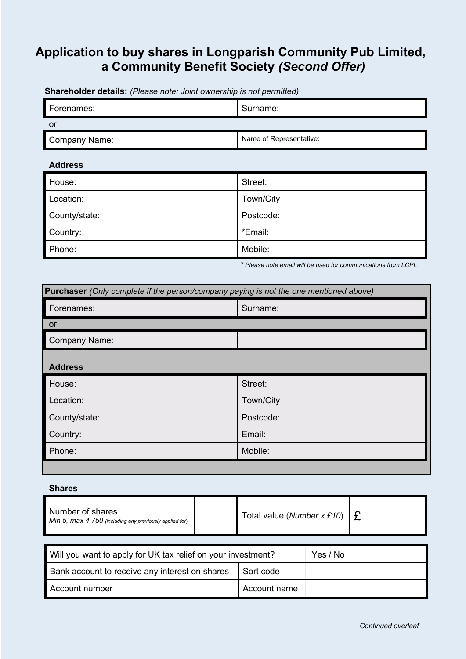# **Application to buy shares in Longparish Community Pub Limited, a Community Benefit Society** *(Second Offer)*

Forenames: Surname: Surname: Surname: Surname: Surname: Surname: Surname: Surname: Surname: Surname: Surname: Surname: Surname: Surname: Surname: Surname: Surname: Surname: Surname: Surname: Surname: Surname: Surname: Surn or Company Name: Name of Representative:

### **Shareholder details:** *(Please note: Joint ownership is not permitted)*

### **Address**

| House:        | Street:   |
|---------------|-----------|
| Location:     | Town/City |
| County/state: | Postcode: |
| Country:      | *Email:   |
| Phone:        | Mobile:   |

 *\* Please note email will be used for communications from LCPL*

| Purchaser (Only complete if the person/company paying is not the one mentioned above) |           |  |
|---------------------------------------------------------------------------------------|-----------|--|
| Forenames:                                                                            | Surname:  |  |
| <b>or</b>                                                                             |           |  |
| Company Name:                                                                         |           |  |
| <b>Address</b>                                                                        |           |  |
| House:                                                                                | Street:   |  |
| Location:                                                                             | Town/City |  |
| County/state:                                                                         | Postcode: |  |
| Country:                                                                              | Email:    |  |
| Phone:                                                                                | Mobile:   |  |
|                                                                                       |           |  |

### **Shares**

| Number of shares<br>$\blacksquare$ Min 5, max 4,750 (including any previously applied for) |  | Total value (Number x £10) $\vert \mathbf{f} \vert$ |  |
|--------------------------------------------------------------------------------------------|--|-----------------------------------------------------|--|
|--------------------------------------------------------------------------------------------|--|-----------------------------------------------------|--|

| Will you want to apply for UK tax relief on your investment? |  | Yes / No     |  |
|--------------------------------------------------------------|--|--------------|--|
| Bank account to receive any interest on shares               |  | Sort code    |  |
| Account number                                               |  | Account name |  |